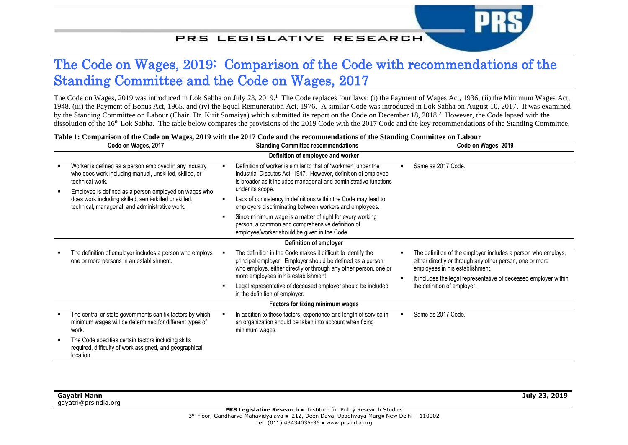## PRS LEGISLATIVE RESEARCH

## The Code on Wages, 2019: Comparison of the Code with recommendations of the Standing Committee and the Code on Wages, 2017

The Code on Wages, 2019 was introduced in Lok Sabha on July 23, 2019.<sup>1</sup> The Code replaces four laws: (i) the Payment of Wages Act, 1936, (ii) the Minimum Wages Act, 1948, (iii) the Payment of Bonus Act, 1965, and (iv) the Equal Remuneration Act, 1976. A similar Code was introduced in Lok Sabha on August 10, 2017. It was examined by the Standing Committee on Labour (Chair: Dr. Kirit Somaiya) which submitted its report on the Code on December 18, 2018.<sup>2</sup> However, the Code lapsed with the dissolution of the 16<sup>th</sup> Lok Sabha. The table below compares the provisions of the 2019 Code with the 2017 Code and the key recommendations of the Standing Committee.

|                                   | Code on Wages, 2017                                                                                                                                                                          | <b>Standing Committee recommendations</b>                                                                                                                                                                                               | Code on Wages, 2019                                                                                                                                                                                                              |  |  |  |  |
|-----------------------------------|----------------------------------------------------------------------------------------------------------------------------------------------------------------------------------------------|-----------------------------------------------------------------------------------------------------------------------------------------------------------------------------------------------------------------------------------------|----------------------------------------------------------------------------------------------------------------------------------------------------------------------------------------------------------------------------------|--|--|--|--|
| Definition of employee and worker |                                                                                                                                                                                              |                                                                                                                                                                                                                                         |                                                                                                                                                                                                                                  |  |  |  |  |
|                                   | Worker is defined as a person employed in any industry<br>who does work including manual, unskilled, skilled, or<br>technical work.<br>Employee is defined as a person employed on wages who | Definition of worker is similar to that of 'workmen' under the<br>п<br>Industrial Disputes Act, 1947. However, definition of employee<br>is broader as it includes managerial and administrative functions<br>under its scope.          | Same as 2017 Code.                                                                                                                                                                                                               |  |  |  |  |
|                                   | does work including skilled, semi-skilled unskilled,<br>technical, managerial, and administrative work.                                                                                      | Lack of consistency in definitions within the Code may lead to<br>$\blacksquare$<br>employers discriminating between workers and employees.                                                                                             |                                                                                                                                                                                                                                  |  |  |  |  |
|                                   |                                                                                                                                                                                              | Since minimum wage is a matter of right for every working<br>٠<br>person, a common and comprehensive definition of<br>employee/worker should be given in the Code.                                                                      |                                                                                                                                                                                                                                  |  |  |  |  |
|                                   | Definition of employer                                                                                                                                                                       |                                                                                                                                                                                                                                         |                                                                                                                                                                                                                                  |  |  |  |  |
|                                   | The definition of employer includes a person who employs<br>one or more persons in an establishment.                                                                                         | The definition in the Code makes it difficult to identify the<br>principal employer. Employer should be defined as a person<br>who employs, either directly or through any other person, one or<br>more employees in his establishment. | The definition of the employer includes a person who employs,<br>either directly or through any other person, one or more<br>employees in his establishment.<br>It includes the legal representative of deceased employer within |  |  |  |  |
|                                   |                                                                                                                                                                                              | Legal representative of deceased employer should be included<br>in the definition of employer.                                                                                                                                          | the definition of employer.                                                                                                                                                                                                      |  |  |  |  |
|                                   | <b>Factors for fixing minimum wages</b>                                                                                                                                                      |                                                                                                                                                                                                                                         |                                                                                                                                                                                                                                  |  |  |  |  |
|                                   | The central or state governments can fix factors by which<br>minimum wages will be determined for different types of<br>work.                                                                | In addition to these factors, experience and length of service in<br>an organization should be taken into account when fixing<br>minimum wages.                                                                                         | Same as 2017 Code.<br>$\blacksquare$                                                                                                                                                                                             |  |  |  |  |
|                                   | The Code specifies certain factors including skills<br>required, difficulty of work assigned, and geographical<br>location.                                                                  |                                                                                                                                                                                                                                         |                                                                                                                                                                                                                                  |  |  |  |  |

## **Table 1: Comparison of the Code on Wages, 2019 with the 2017 Code and the recommendations of the Standing Committee on Labour**

| Gayatri Mann |                      |
|--------------|----------------------|
|              | gayatri@prsindia.org |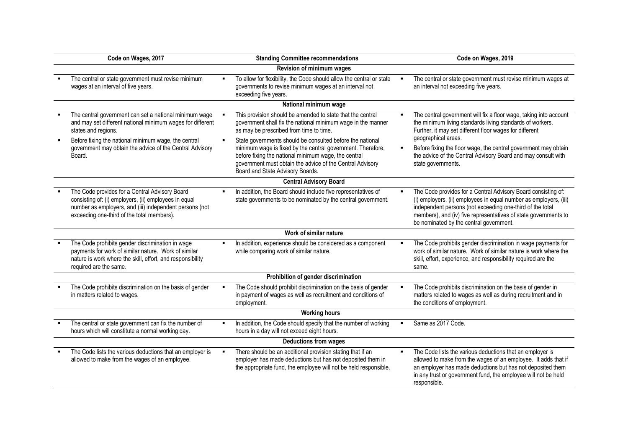| Code on Wages, 2017                                                                                                                                                                                              |                | <b>Standing Committee recommendations</b>                                                                                                                                                                                                                                         |                | Code on Wages, 2019                                                                                                                                                                                                                                                                                           |  |  |  |
|------------------------------------------------------------------------------------------------------------------------------------------------------------------------------------------------------------------|----------------|-----------------------------------------------------------------------------------------------------------------------------------------------------------------------------------------------------------------------------------------------------------------------------------|----------------|---------------------------------------------------------------------------------------------------------------------------------------------------------------------------------------------------------------------------------------------------------------------------------------------------------------|--|--|--|
| Revision of minimum wages                                                                                                                                                                                        |                |                                                                                                                                                                                                                                                                                   |                |                                                                                                                                                                                                                                                                                                               |  |  |  |
| The central or state government must revise minimum<br>wages at an interval of five years.                                                                                                                       |                | To allow for flexibility, the Code should allow the central or state<br>governments to revise minimum wages at an interval not<br>exceeding five years.                                                                                                                           |                | The central or state government must revise minimum wages at<br>an interval not exceeding five years.                                                                                                                                                                                                         |  |  |  |
|                                                                                                                                                                                                                  |                | National minimum wage                                                                                                                                                                                                                                                             |                |                                                                                                                                                                                                                                                                                                               |  |  |  |
| The central government can set a national minimum wage<br>and may set different national minimum wages for different<br>states and regions.                                                                      |                | This provision should be amended to state that the central<br>government shall fix the national minimum wage in the manner<br>as may be prescribed from time to time.                                                                                                             |                | The central government will fix a floor wage, taking into account<br>the minimum living standards living standards of workers.<br>Further, it may set different floor wages for different                                                                                                                     |  |  |  |
| Before fixing the national minimum wage, the central<br>government may obtain the advice of the Central Advisory<br>Board.                                                                                       |                | State governments should be consulted before the national<br>minimum wage is fixed by the central government. Therefore,<br>before fixing the national minimum wage, the central<br>government must obtain the advice of the Central Advisory<br>Board and State Advisory Boards. | $\blacksquare$ | geographical areas.<br>Before fixing the floor wage, the central government may obtain<br>the advice of the Central Advisory Board and may consult with<br>state governments.                                                                                                                                 |  |  |  |
|                                                                                                                                                                                                                  |                | <b>Central Advisory Board</b>                                                                                                                                                                                                                                                     |                |                                                                                                                                                                                                                                                                                                               |  |  |  |
| The Code provides for a Central Advisory Board<br>consisting of: (i) employers, (ii) employees in equal<br>number as employers, and (iii) independent persons (not<br>exceeding one-third of the total members). |                | In addition, the Board should include five representatives of<br>state governments to be nominated by the central government.                                                                                                                                                     |                | The Code provides for a Central Advisory Board consisting of:<br>(i) employers, (ii) employees in equal number as employers, (iii)<br>independent persons (not exceeding one-third of the total<br>members), and (iv) five representatives of state governments to<br>be nominated by the central government. |  |  |  |
|                                                                                                                                                                                                                  |                | Work of similar nature                                                                                                                                                                                                                                                            |                |                                                                                                                                                                                                                                                                                                               |  |  |  |
| The Code prohibits gender discrimination in wage<br>payments for work of similar nature. Work of similar<br>nature is work where the skill, effort, and responsibility<br>required are the same.                 |                | In addition, experience should be considered as a component<br>while comparing work of similar nature.                                                                                                                                                                            |                | The Code prohibits gender discrimination in wage payments for<br>work of similar nature. Work of similar nature is work where the<br>skill, effort, experience, and responsibility required are the<br>same.                                                                                                  |  |  |  |
|                                                                                                                                                                                                                  |                | Prohibition of gender discrimination                                                                                                                                                                                                                                              |                |                                                                                                                                                                                                                                                                                                               |  |  |  |
| The Code prohibits discrimination on the basis of gender<br>in matters related to wages.                                                                                                                         |                | The Code should prohibit discrimination on the basis of gender<br>in payment of wages as well as recruitment and conditions of<br>employment.                                                                                                                                     |                | The Code prohibits discrimination on the basis of gender in<br>matters related to wages as well as during recruitment and in<br>the conditions of employment.                                                                                                                                                 |  |  |  |
| <b>Working hours</b>                                                                                                                                                                                             |                |                                                                                                                                                                                                                                                                                   |                |                                                                                                                                                                                                                                                                                                               |  |  |  |
| The central or state government can fix the number of<br>hours which will constitute a normal working day.                                                                                                       |                | In addition, the Code should specify that the number of working<br>hours in a day will not exceed eight hours.                                                                                                                                                                    |                | Same as 2017 Code.                                                                                                                                                                                                                                                                                            |  |  |  |
| <b>Deductions from wages</b>                                                                                                                                                                                     |                |                                                                                                                                                                                                                                                                                   |                |                                                                                                                                                                                                                                                                                                               |  |  |  |
| The Code lists the various deductions that an employer is<br>allowed to make from the wages of an employee.                                                                                                      | $\blacksquare$ | There should be an additional provision stating that if an<br>employer has made deductions but has not deposited them in<br>the appropriate fund, the employee will not be held responsible.                                                                                      |                | The Code lists the various deductions that an employer is<br>allowed to make from the wages of an employee. It adds that if<br>an employer has made deductions but has not deposited them<br>in any trust or government fund, the employee will not be held<br>responsible.                                   |  |  |  |